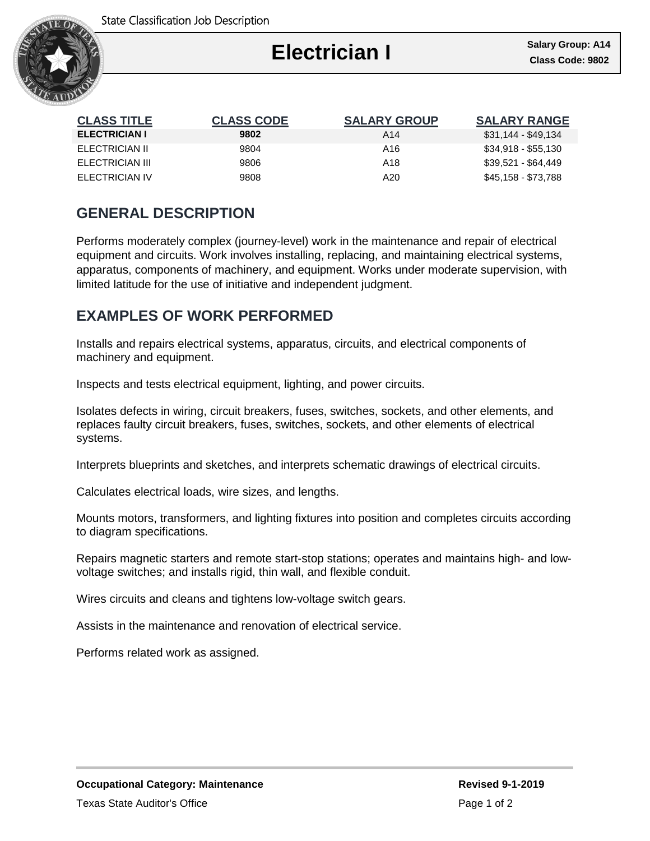

I

| <b>CLASS TITLE</b>   | <b>CLASS CODE</b> | <b>SALARY GROUP</b> | <b>SALARY RANGE</b> |
|----------------------|-------------------|---------------------|---------------------|
| <b>ELECTRICIAN I</b> | 9802              | A14                 | \$31,144 - \$49,134 |
| ELECTRICIAN II       | 9804              | A16                 | \$34,918 - \$55,130 |
| ELECTRICIAN III      | 9806              | A18                 | \$39,521 - \$64,449 |
| ELECTRICIAN IV       | 9808              | A20                 | \$45,158 - \$73,788 |

## **GENERAL DESCRIPTION**

Performs moderately complex (journey-level) work in the maintenance and repair of electrical equipment and circuits. Work involves installing, replacing, and maintaining electrical systems, apparatus, components of machinery, and equipment. Works under moderate supervision, with limited latitude for the use of initiative and independent judgment.

# **EXAMPLES OF WORK PERFORMED**

Installs and repairs electrical systems, apparatus, circuits, and electrical components of machinery and equipment.

Inspects and tests electrical equipment, lighting, and power circuits.

Isolates defects in wiring, circuit breakers, fuses, switches, sockets, and other elements, and replaces faulty circuit breakers, fuses, switches, sockets, and other elements of electrical systems.

Interprets blueprints and sketches, and interprets schematic drawings of electrical circuits.

Calculates electrical loads, wire sizes, and lengths.

Mounts motors, transformers, and lighting fixtures into position and completes circuits according to diagram specifications.

Repairs magnetic starters and remote start-stop stations; operates and maintains high- and lowvoltage switches; and installs rigid, thin wall, and flexible conduit.

Wires circuits and cleans and tightens low-voltage switch gears.

Assists in the maintenance and renovation of electrical service.

Performs related work as assigned.